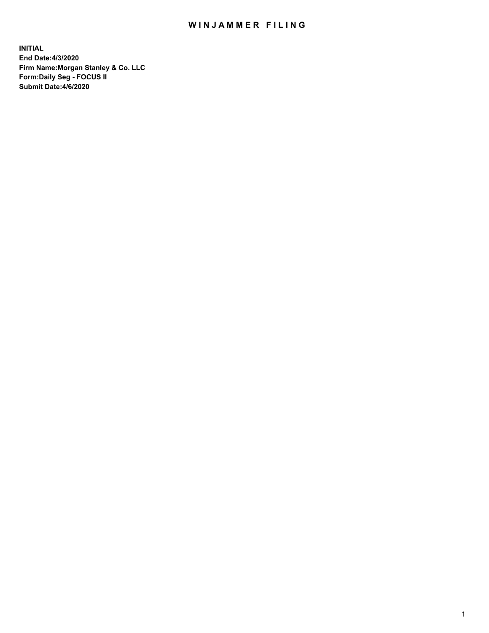## WIN JAMMER FILING

**INITIAL End Date:4/3/2020 Firm Name:Morgan Stanley & Co. LLC Form:Daily Seg - FOCUS II Submit Date:4/6/2020**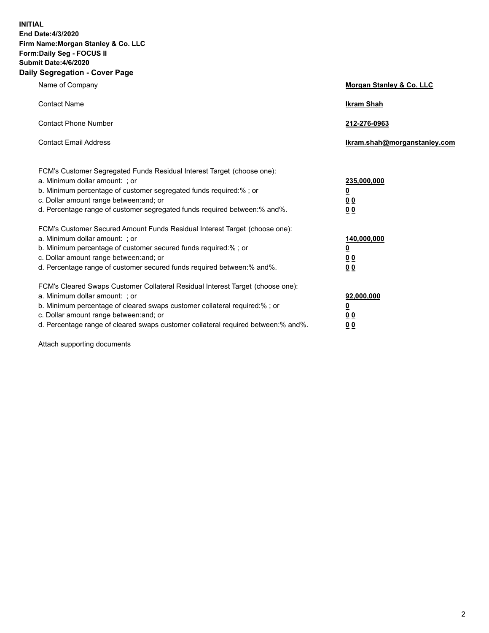**INITIAL End Date:4/3/2020 Firm Name:Morgan Stanley & Co. LLC Form:Daily Seg - FOCUS II Submit Date:4/6/2020 Daily Segregation - Cover Page**

| Name of Company                                                                                                                                                                                                                                                                                                                | Morgan Stanley & Co. LLC                        |
|--------------------------------------------------------------------------------------------------------------------------------------------------------------------------------------------------------------------------------------------------------------------------------------------------------------------------------|-------------------------------------------------|
| <b>Contact Name</b>                                                                                                                                                                                                                                                                                                            | <b>Ikram Shah</b>                               |
| <b>Contact Phone Number</b>                                                                                                                                                                                                                                                                                                    | 212-276-0963                                    |
| <b>Contact Email Address</b>                                                                                                                                                                                                                                                                                                   | Ikram.shah@morganstanley.com                    |
| FCM's Customer Segregated Funds Residual Interest Target (choose one):<br>a. Minimum dollar amount: ; or<br>b. Minimum percentage of customer segregated funds required:% ; or<br>c. Dollar amount range between: and; or<br>d. Percentage range of customer segregated funds required between:% and%.                         | 235,000,000<br><u>0</u><br><u>00</u><br>0 Q     |
| FCM's Customer Secured Amount Funds Residual Interest Target (choose one):<br>a. Minimum dollar amount: ; or<br>b. Minimum percentage of customer secured funds required:% ; or<br>c. Dollar amount range between: and; or<br>d. Percentage range of customer secured funds required between: % and %.                         | 140,000,000<br><u>0</u><br>0 <sub>0</sub><br>00 |
| FCM's Cleared Swaps Customer Collateral Residual Interest Target (choose one):<br>a. Minimum dollar amount: ; or<br>b. Minimum percentage of cleared swaps customer collateral required:% ; or<br>c. Dollar amount range between: and; or<br>d. Percentage range of cleared swaps customer collateral required between:% and%. | 92,000,000<br><u>0</u><br>0 Q<br>0 <sub>0</sub> |

Attach supporting documents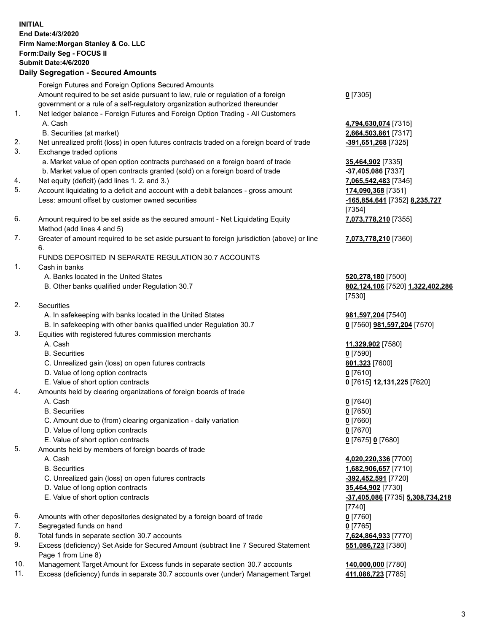| <b>INITIAL</b> | <b>End Date:4/3/2020</b><br>Firm Name: Morgan Stanley & Co. LLC<br>Form: Daily Seg - FOCUS II<br><b>Submit Date:4/6/2020</b>                                                                                            |                                                                                        |
|----------------|-------------------------------------------------------------------------------------------------------------------------------------------------------------------------------------------------------------------------|----------------------------------------------------------------------------------------|
|                | <b>Daily Segregation - Secured Amounts</b>                                                                                                                                                                              |                                                                                        |
|                | Foreign Futures and Foreign Options Secured Amounts<br>Amount required to be set aside pursuant to law, rule or regulation of a foreign<br>government or a rule of a self-regulatory organization authorized thereunder | $0$ [7305]                                                                             |
| 1.             | Net ledger balance - Foreign Futures and Foreign Option Trading - All Customers<br>A. Cash<br>B. Securities (at market)                                                                                                 | 4,794,630,074 [7315]<br>2,664,503,861 [7317]                                           |
| 2.<br>3.       | Net unrealized profit (loss) in open futures contracts traded on a foreign board of trade<br>Exchange traded options                                                                                                    | -391,651,268 [7325]                                                                    |
| 4.             | a. Market value of open option contracts purchased on a foreign board of trade<br>b. Market value of open contracts granted (sold) on a foreign board of trade<br>Net equity (deficit) (add lines 1. 2. and 3.)         | 35,464,902 [7335]<br>-37,405,086 [7337]<br>7,065,542,483 [7345]                        |
| 5.             | Account liquidating to a deficit and account with a debit balances - gross amount<br>Less: amount offset by customer owned securities                                                                                   | 174,090,368 [7351]<br>-165,854,641 [7352] 8,235,727<br>[7354]                          |
| 6.             | Amount required to be set aside as the secured amount - Net Liquidating Equity<br>Method (add lines 4 and 5)                                                                                                            | 7,073,778,210 [7355]                                                                   |
| 7.             | Greater of amount required to be set aside pursuant to foreign jurisdiction (above) or line<br>6.<br>FUNDS DEPOSITED IN SEPARATE REGULATION 30.7 ACCOUNTS                                                               | 7,073,778,210 [7360]                                                                   |
| 1.             | Cash in banks<br>A. Banks located in the United States                                                                                                                                                                  | 520,278,180 [7500]                                                                     |
|                | B. Other banks qualified under Regulation 30.7                                                                                                                                                                          | 802,124,106 [7520] 1,322,402,286<br>[7530]                                             |
| 2.             | <b>Securities</b><br>A. In safekeeping with banks located in the United States<br>B. In safekeeping with other banks qualified under Regulation 30.7                                                                    | 981,597,204 [7540]<br>0 [7560] 981,597,204 [7570]                                      |
| 3.             | Equities with registered futures commission merchants<br>A. Cash                                                                                                                                                        | 11,329,902 [7580]                                                                      |
|                | <b>B.</b> Securities<br>C. Unrealized gain (loss) on open futures contracts                                                                                                                                             | $0$ [7590]<br>801,323 [7600]                                                           |
|                | D. Value of long option contracts<br>E. Value of short option contracts                                                                                                                                                 | $0$ [7610]<br>0 [7615] 12,131,225 [7620]                                               |
| 4.             | Amounts held by clearing organizations of foreign boards of trade<br>A. Cash<br><b>B.</b> Securities                                                                                                                    | $0$ [7640]                                                                             |
|                | C. Amount due to (from) clearing organization - daily variation<br>D. Value of long option contracts                                                                                                                    | $0$ [7650]<br>$0$ [7660]<br>$0$ [7670]                                                 |
| 5.             | E. Value of short option contracts<br>Amounts held by members of foreign boards of trade                                                                                                                                | 0 [7675] 0 [7680]                                                                      |
|                | A. Cash<br><b>B.</b> Securities                                                                                                                                                                                         | 4,020,220,336 [7700]<br>1,682,906,657 [7710]                                           |
|                | C. Unrealized gain (loss) on open futures contracts<br>D. Value of long option contracts<br>E. Value of short option contracts                                                                                          | -392,452,591 [7720]<br>35,464,902 [7730]<br>-37,405,086 [7735] 5,308,734,218<br>[7740] |
| 6.             | Amounts with other depositories designated by a foreign board of trade                                                                                                                                                  | $0$ [7760]                                                                             |
| 7.<br>8.       | Segregated funds on hand                                                                                                                                                                                                | $0$ [7765]                                                                             |
| 9.             | Total funds in separate section 30.7 accounts<br>Excess (deficiency) Set Aside for Secured Amount (subtract line 7 Secured Statement<br>Page 1 from Line 8)                                                             | 7,624,864,933 [7770]<br>551,086,723 [7380]                                             |
| 10.            | Management Target Amount for Excess funds in separate section 30.7 accounts                                                                                                                                             | 140,000,000 [7780]                                                                     |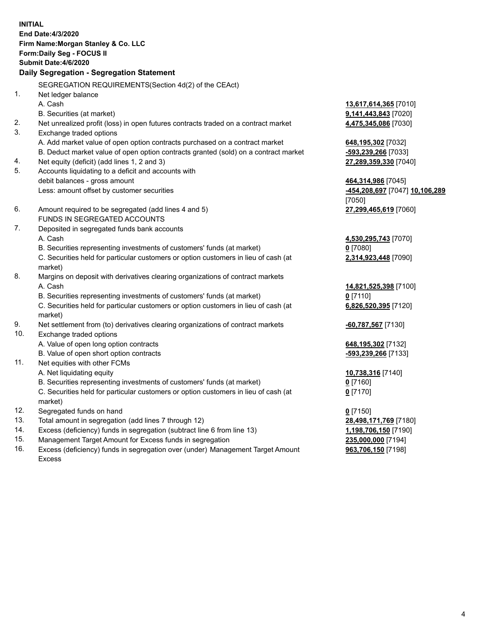| <b>INITIAL</b> | End Date: 4/3/2020<br>Firm Name: Morgan Stanley & Co. LLC<br>Form: Daily Seg - FOCUS II<br>Submit Date: 4/6/2020<br>Daily Segregation - Segregation Statement |                                                      |
|----------------|---------------------------------------------------------------------------------------------------------------------------------------------------------------|------------------------------------------------------|
|                | SEGREGATION REQUIREMENTS(Section 4d(2) of the CEAct)                                                                                                          |                                                      |
| 1.             | Net ledger balance                                                                                                                                            |                                                      |
|                | A. Cash                                                                                                                                                       | 13,617,614,365 [7010]                                |
|                | B. Securities (at market)                                                                                                                                     | 9,141,443,843 [7020]                                 |
| 2.             | Net unrealized profit (loss) in open futures contracts traded on a contract market                                                                            | 4,475,345,086 [7030]                                 |
| 3.             | Exchange traded options                                                                                                                                       |                                                      |
|                | A. Add market value of open option contracts purchased on a contract market                                                                                   | 648,195,302 [7032]                                   |
|                | B. Deduct market value of open option contracts granted (sold) on a contract market                                                                           | -593,239,266 [7033]                                  |
| 4.<br>5.       | Net equity (deficit) (add lines 1, 2 and 3)                                                                                                                   | 27,289,359,330 [7040]                                |
|                | Accounts liquidating to a deficit and accounts with<br>debit balances - gross amount                                                                          |                                                      |
|                | Less: amount offset by customer securities                                                                                                                    | 464,314,986 [7045]<br>-454,208,697 [7047] 10,106,289 |
|                |                                                                                                                                                               | [7050]                                               |
| 6.             | Amount required to be segregated (add lines 4 and 5)                                                                                                          | 27,299,465,619 [7060]                                |
|                | FUNDS IN SEGREGATED ACCOUNTS                                                                                                                                  |                                                      |
| 7.             | Deposited in segregated funds bank accounts                                                                                                                   |                                                      |
|                | A. Cash                                                                                                                                                       | 4,530,295,743 [7070]                                 |
|                | B. Securities representing investments of customers' funds (at market)                                                                                        | $0$ [7080]                                           |
|                | C. Securities held for particular customers or option customers in lieu of cash (at                                                                           | 2,314,923,448 [7090]                                 |
|                | market)                                                                                                                                                       |                                                      |
| 8.             | Margins on deposit with derivatives clearing organizations of contract markets                                                                                |                                                      |
|                | A. Cash                                                                                                                                                       | 14,821,525,398 [7100]                                |
|                | B. Securities representing investments of customers' funds (at market)                                                                                        | $0$ [7110]                                           |
|                | C. Securities held for particular customers or option customers in lieu of cash (at<br>market)                                                                | 6,826,520,395 [7120]                                 |
| 9.             | Net settlement from (to) derivatives clearing organizations of contract markets                                                                               | -60,787,567 [7130]                                   |
| 10.            | Exchange traded options                                                                                                                                       |                                                      |
|                | A. Value of open long option contracts                                                                                                                        | 648,195,302 [7132]                                   |
|                | B. Value of open short option contracts                                                                                                                       | -593,239,266 [7133]                                  |
| 11.            | Net equities with other FCMs                                                                                                                                  |                                                      |
|                | A. Net liquidating equity                                                                                                                                     | 10,738,316 [7140]                                    |
|                | B. Securities representing investments of customers' funds (at market)                                                                                        | $0$ [7160]                                           |
|                | C. Securities held for particular customers or option customers in lieu of cash (at<br>market)                                                                | $0$ [7170]                                           |
| 12.            | Segregated funds on hand                                                                                                                                      | $0$ [7150]                                           |
| 13.            | Total amount in segregation (add lines 7 through 12)                                                                                                          | 28,498,171,769 [7180]                                |
| 14.            | Excess (deficiency) funds in segregation (subtract line 6 from line 13)                                                                                       | 1,198,706,150 [7190]                                 |
| 15.            | Management Target Amount for Excess funds in segregation                                                                                                      | 235,000,000 [7194]                                   |
| 16.            | Excess (deficiency) funds in segregation over (under) Management Target Amount                                                                                | 963,706,150 [7198]                                   |

Excess